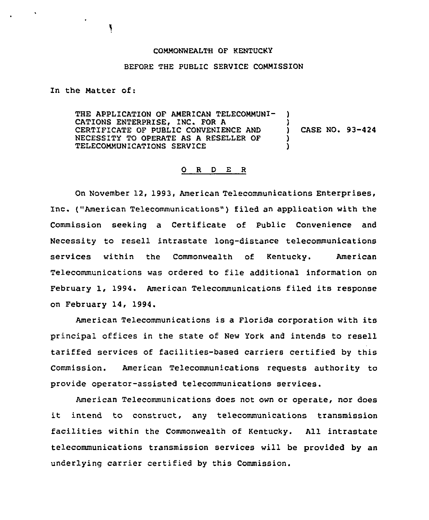## COMMONWEALTH OF KENTUCKY

## BEFORE THE PUBLIC SERVICE COMMISSION

In the Matter of:

THE APPLICATION OF AMERICAN TELECOMMUNI-CATIONS ENTERPRISE, INC. FOR A CERTIFICATE OF PUBLIC CONVENIENCE AND ) NECESSITY TO OPERATE AS A RESELLER OF TELECOMMUNICATIONS SERVICE ) CASE NO. 93-424

## 0 <sup>R</sup> <sup>D</sup> E <sup>R</sup>

On November 12, 1993, American Telecommunications Enterprises, Inc. ("American Telecommunications") filed an application with the Commission seeking a Certificate of Public Convenience and Necessity to resell intrastate long-distance telecommunications services within the Commonwealth of Kentucky. American Telecommunications was ordered to file additional information on February 1, 1994. American Telecommunications filed its response on February 14, 1994.

American Telecommunications is a Florida corporation with its principal offices in the state of New York and intends to resell tariffed services of facilities-based carriers certified by this Commission. American Telecommunications requests authority to provide operator-assisted telecommunications services.

American Telecommunications does not own or operate, nor does it intend to construct, any telecommunications transmission facilities within the Commonwealth of Kentucky. All intrastate telecommunications transmission services will be provided by an underlying carrier certified by this Commission.

Y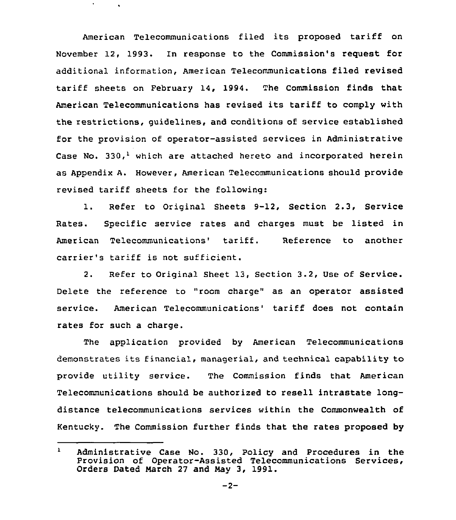American Telecommunications filed its proposed tariff on November 12, 1993. In response to the Commission's request for additional information, American Telecommunications filed revised tariff sheets on February 14, 1994. The Commission finds that American Telecommunications has revised its tariff to comply with the restrictions, guidelines, and conditions of service established for the provision of operator-assisted services in Administrative Case No. 330,<sup>1</sup> which are attached hereto and incorporated herein as Appendix A. However, American Telecommunications should provide revised tariff sheets for the following:

 $\mathbf{v}$ 

1. Refer to Original Sheets 9-12, Section 2.3, Service Rates. Specific service rates and charges must be listed in American Telecommunications' tariff. Reference to another carrier's tariff is not sufficient.

2. Refer to Original Sheet 13, Section 3.2, Use of Service. Delete the reference to "room charge" as an operator assisted service. American Telecommunications' tariff does not contain rates for such a charge.

The application provided by American Telecommunications demonstrates its financial, managerial, and technical capability to provide utility service. The Commission finds that American Telecommunications should be authorized to resell intrastate longdistance telecommunications services within the Commonwealth of Kentucky. The Commission further finds that the rates proposed by

 $\mathbf{1}$ Administrative Case No. 330, Policy and Procedures in the Provision of Operator-Assisted Telecommunications Services, Orders Dated March 27 and May 3, 1991.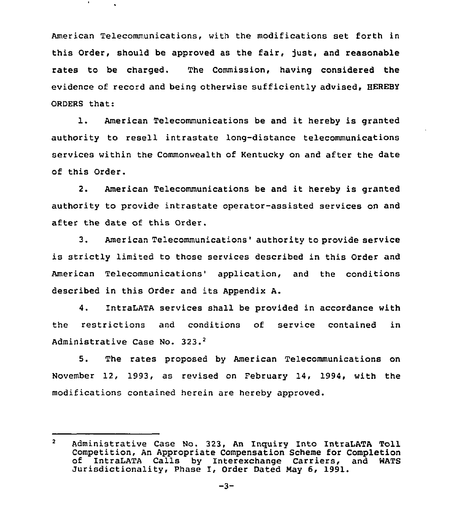American Telecommunications, with the modifications set forth in this Order, should be approved as the fair, just, and reasonable rates to be charged. The Commission, having considered the evidence of record and being otherwise sufficiently advised, HEREBY ORDERS that:

l. American Telecommunications be and it hereby is granted authority to resell intrastate long-distance telecommunications services within the Commonwealth of Kentucky on and after the date of this Order.

2. American Telecommunications be and it hereby is granted authority to provide intrastate operator-assisted services on and after the date of this Order.

3. American Telecommunications' authority to provide service is strictly limited to those services described in this Order and American Telecommunications' application, and the conditions described in this Order and its Appendix A.

4. IntraLATA services shall be provided in accordance with the restrictions and conditions of service contained in Administrative Case No. 323.<sup>2</sup>

5. The rates proposed by American Telecommunications on November 12, 1993, as revised on February 14, 1994, with the modifications contained herein are hereby approved.

 $\overline{2}$ Administrative Case No. 323, An Inguiry Into IntraLATA Toll Competition, An Appropriate Compensation Scheme for Completion of IntraLATA Calls by Interexchange Carriers, and WATS Jurisdictionality, Phase I, Order Dated Nay 6, 1991.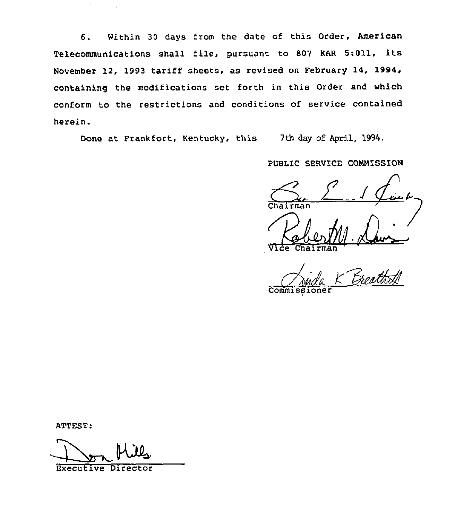6. Within <sup>30</sup> days from the date of this Order, American Telecommunications shall file, pursuant to <sup>807</sup> KAR 5:011, its November 12, 1993 tariff sheets, as revised on February 14, 1994, containing the modifications set forth in this Order and which conform to the restrictions and conditions of service contained herein.

Done at Frankfort, Kentucky, this 7th day of April, 1994.

PUBLIC SERVICE COMNISSION

1 Vice Chairma

Commi

/

ATTEST:

 $\epsilon$ 

Executive Director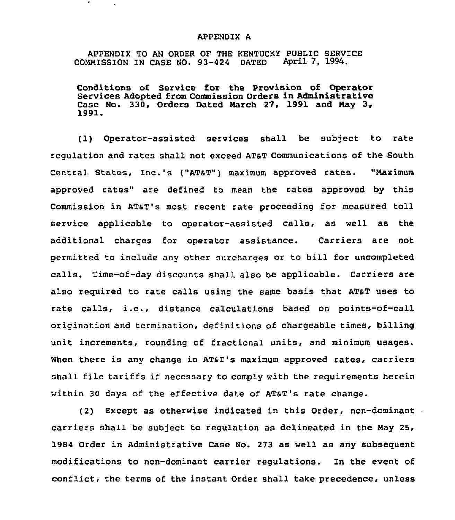## APPENDIX A

APPENDIX TO AN ORDER OF THE KENTUCKY PUBLIC SERVICE<br>MMISSION IN CASE NO. 93-424 DATED April 7, 1994. COMMISSION IN CASE NO. 93-424 DATED

Conditions of Service for the provision of Operator Services Adopted from Commission Orders in Administrative Case No. 330, Orders Dated March 27, 1991 and May 3, 1991.

(1) Operator-assisted services shall be subject to rate regulation and rates shall not exceed ATsT Communications of the South Central States, Inc.'s ("AT6T") maximum approved rates. "Maximum approved rates" are defined to mean the rates approved by this Commission in AT&T's most recent rate proceeding for measured toll service applicable to operator-assisted calls, as well as the additional charges for operator assistance. Carriers are not permitted to include any other surcharges or to bill for uncompleted calls. Time-of-day discounts shall also be applicable. Carriers are also required to rate calls using the same basis that AT&T uses to rate calls, i.e., distance calculations based on points-of-call origination and termination, definitions of chargeable times, billing unit increments, rounding of fractional units, and minimum usages. When there is any change in AT&T's maximum approved rates, carriers shall file tariffs if necessary to comply with the requirements herein within 30 days of the effective date of AT&T's rate change.

(2) Except as otherwise indicated in this Order, non-dominant carriers shall be subject to regulation as delineated in the Nay 25, 1984 Order in Administrative Case No. 273 as well as any subsequent modifications to non-dominant carrier regulations. In the event of conflict, the terms of the instant Order shall take precedence, unless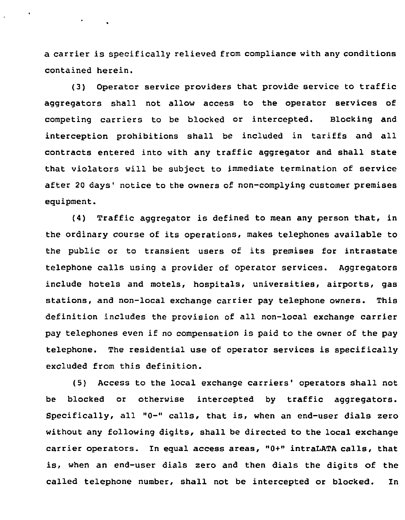a carrier is specifically relieved from compliance with any conditions contained herein.

(3) Operator service providers that provide service to traffic aggregators shall not allow access to the operator services of competing carriers to be blocked or intercepted. Blocking and interception prohibitions shall be included in tariffs and all contracts entered into with any traffic aggregator and shall state that violators will be subject to immediate termination of service after 20 days' notice to the owners of non-complying customer premises equipment.

(4) Traffic aggregator is defined to mean any person that, in the ordinary course of its operations, makes telephones available to the public or to transient users of its premises for intrastate telephone calls using a provider of operator services. Aggregators include hotels and motels, hospitals, universities, airports, gas stations, and non-local exchange carrier pay telephone owners. This definition includes the provision of all non-local exchange carrier pay telephones even if no compensation is paid to the owner of the pay telephone. The residential use of operator services is specifically excluded from this definition.

(5) Access to the local exchange carriers' operators shall not be blocked or otherwise intercepted by traffic aggregators. Specifically, all "0-" calls, that is, when an end-user dials zero without any following digits, shall be directed to the local exchange carrier operators. In equal access areas, "0+" intraLATA calls, that is, when an end-user dials zero and then dials the digits of the called telephone number, shall not be intercepted or blocked. In